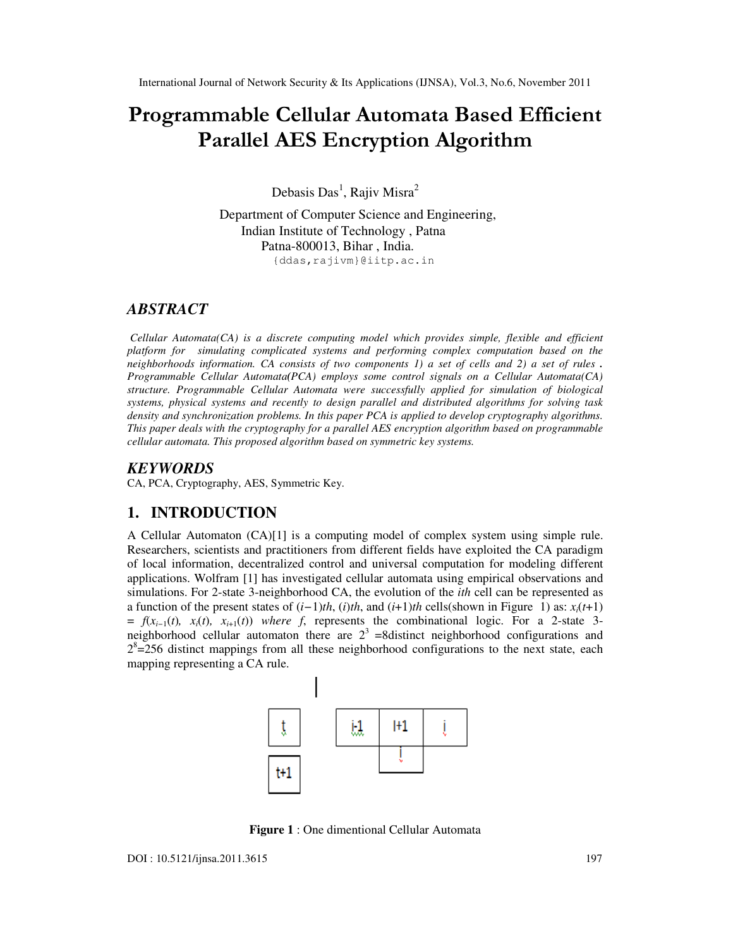# Programmable Cellular Automata Based Efficient Parallel AES Encryption Algorithm

Debasis Das<sup>1</sup>, Rajiv Misra<sup>2</sup>

Department of Computer Science and Engineering, Indian Institute of Technology , Patna Patna-800013, Bihar , India. {ddas,rajivm}@iitp.ac.in

# *ABSTRACT*

*Cellular Automata(CA) is a discrete computing model which provides simple, flexible and efficient platform for simulating complicated systems and performing complex computation based on the neighborhoods information. CA consists of two components 1) a set of cells and 2) a set of rules . Programmable Cellular Automata(PCA) employs some control signals on a Cellular Automata(CA) structure. Programmable Cellular Automata were successfully applied for simulation of biological systems, physical systems and recently to design parallel and distributed algorithms for solving task density and synchronization problems. In this paper PCA is applied to develop cryptography algorithms. This paper deals with the cryptography for a parallel AES encryption algorithm based on programmable cellular automata. This proposed algorithm based on symmetric key systems.* 

# *KEYWORDS*

CA, PCA, Cryptography, AES, Symmetric Key.

# **1. INTRODUCTION**

A Cellular Automaton (CA)[1] is a computing model of complex system using simple rule. Researchers, scientists and practitioners from different fields have exploited the CA paradigm of local information, decentralized control and universal computation for modeling different applications. Wolfram [1] has investigated cellular automata using empirical observations and simulations. For 2-state 3-neighborhood CA, the evolution of the *ith* cell can be represented as a function of the present states of  $(i-1)$ *th*,  $(i)$ *th*, and  $(i+1)$ *th* cells(shown in Figure 1) as:  $x_i(t+1)$  $f(x_{i-1}(t), x_i(t), x_{i+1}(t))$  *where f*, represents the combinational logic. For a 2-state 3neighborhood cellular automaton there are  $2<sup>3</sup>$  =8distinct neighborhood configurations and  $2<sup>8</sup>=256$  distinct mappings from all these neighborhood configurations to the next state, each mapping representing a CA rule.



**Figure 1** : One dimentional Cellular Automata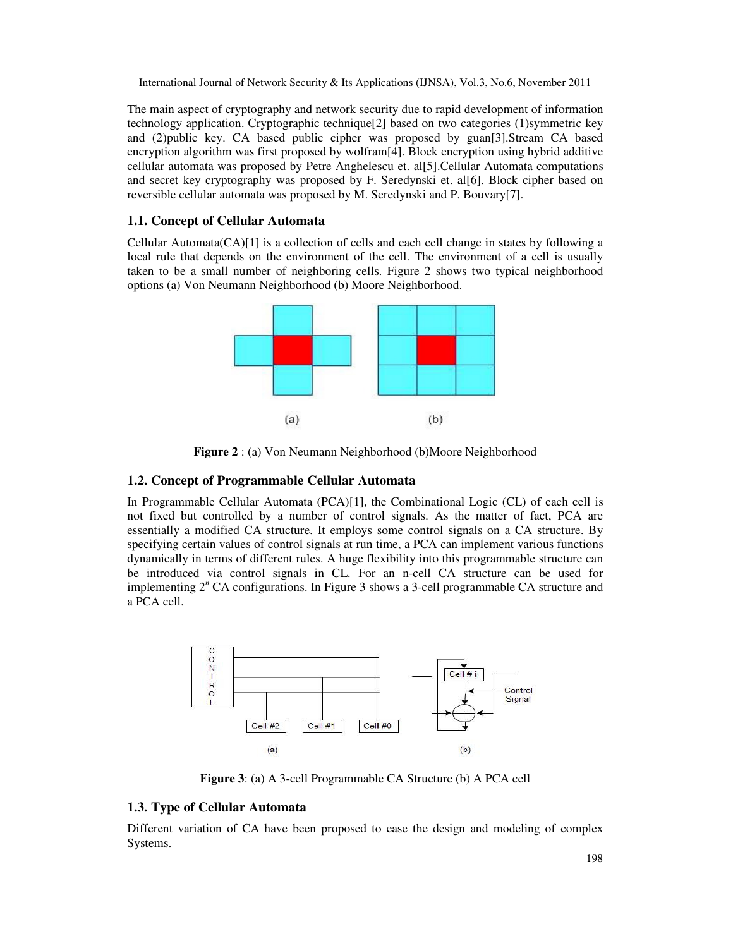The main aspect of cryptography and network security due to rapid development of information technology application. Cryptographic technique[2] based on two categories (1)symmetric key and (2)public key. CA based public cipher was proposed by guan[3].Stream CA based encryption algorithm was first proposed by wolfram[4]. Block encryption using hybrid additive cellular automata was proposed by Petre Anghelescu et. al[5].Cellular Automata computations and secret key cryptography was proposed by F. Seredynski et. al[6]. Block cipher based on reversible cellular automata was proposed by M. Seredynski and P. Bouvary[7].

#### **1.1. Concept of Cellular Automata**

Cellular Automata(CA)[1] is a collection of cells and each cell change in states by following a local rule that depends on the environment of the cell. The environment of a cell is usually taken to be a small number of neighboring cells. Figure 2 shows two typical neighborhood options (a) Von Neumann Neighborhood (b) Moore Neighborhood.



**Figure 2** : (a) Von Neumann Neighborhood (b)Moore Neighborhood

#### **1.2. Concept of Programmable Cellular Automata**

In Programmable Cellular Automata (PCA)[1], the Combinational Logic (CL) of each cell is not fixed but controlled by a number of control signals. As the matter of fact, PCA are essentially a modified CA structure. It employs some control signals on a CA structure. By specifying certain values of control signals at run time, a PCA can implement various functions dynamically in terms of different rules. A huge flexibility into this programmable structure can be introduced via control signals in CL. For an n-cell CA structure can be used for implementing 2*<sup>n</sup>* CA configurations. In Figure 3 shows a 3-cell programmable CA structure and a PCA cell.



**Figure 3**: (a) A 3-cell Programmable CA Structure (b) A PCA cell

## **1.3. Type of Cellular Automata**

Different variation of CA have been proposed to ease the design and modeling of complex Systems.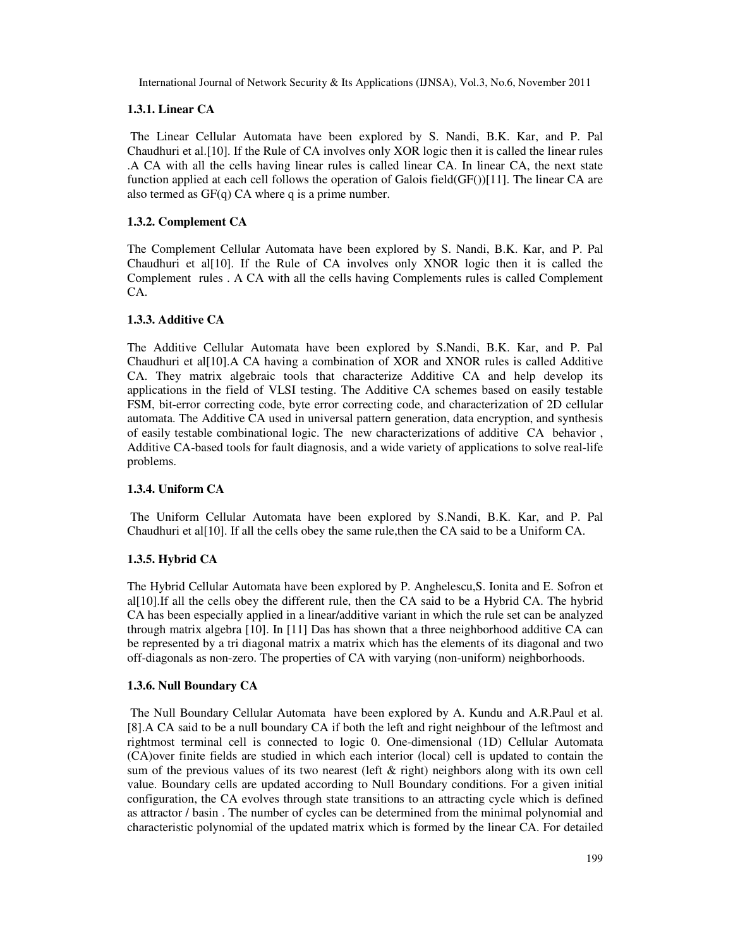## **1.3.1. Linear CA**

 The Linear Cellular Automata have been explored by S. Nandi, B.K. Kar, and P. Pal Chaudhuri et al.[10]. If the Rule of CA involves only XOR logic then it is called the linear rules .A CA with all the cells having linear rules is called linear CA. In linear CA, the next state function applied at each cell follows the operation of Galois field(GF())[11]. The linear CA are also termed as  $GF(q)$  CA where q is a prime number.

## **1.3.2. Complement CA**

The Complement Cellular Automata have been explored by S. Nandi, B.K. Kar, and P. Pal Chaudhuri et al[10]. If the Rule of CA involves only XNOR logic then it is called the Complement rules . A CA with all the cells having Complements rules is called Complement CA.

## **1.3.3. Additive CA**

The Additive Cellular Automata have been explored by S.Nandi, B.K. Kar, and P. Pal Chaudhuri et al[10].A CA having a combination of XOR and XNOR rules is called Additive CA. They matrix algebraic tools that characterize Additive CA and help develop its applications in the field of VLSI testing. The Additive CA schemes based on easily testable FSM, bit-error correcting code, byte error correcting code, and characterization of 2D cellular automata. The Additive CA used in universal pattern generation, data encryption, and synthesis of easily testable combinational logic. The new characterizations of additive CA behavior , Additive CA-based tools for fault diagnosis, and a wide variety of applications to solve real-life problems.

#### **1.3.4. Uniform CA**

The Uniform Cellular Automata have been explored by S.Nandi, B.K. Kar, and P. Pal Chaudhuri et al[10]. If all the cells obey the same rule,then the CA said to be a Uniform CA.

## **1.3.5. Hybrid CA**

The Hybrid Cellular Automata have been explored by P. Anghelescu,S. Ionita and E. Sofron et al[10].If all the cells obey the different rule, then the CA said to be a Hybrid CA. The hybrid CA has been especially applied in a linear/additive variant in which the rule set can be analyzed through matrix algebra [10]. In [11] Das has shown that a three neighborhood additive CA can be represented by a tri diagonal matrix a matrix which has the elements of its diagonal and two off-diagonals as non-zero. The properties of CA with varying (non-uniform) neighborhoods.

#### **1.3.6. Null Boundary CA**

 The Null Boundary Cellular Automata have been explored by A. Kundu and A.R.Paul et al. [8].A CA said to be a null boundary CA if both the left and right neighbour of the leftmost and rightmost terminal cell is connected to logic 0. One-dimensional (1D) Cellular Automata (CA)over finite fields are studied in which each interior (local) cell is updated to contain the sum of the previous values of its two nearest (left & right) neighbors along with its own cell value. Boundary cells are updated according to Null Boundary conditions. For a given initial configuration, the CA evolves through state transitions to an attracting cycle which is defined as attractor / basin . The number of cycles can be determined from the minimal polynomial and characteristic polynomial of the updated matrix which is formed by the linear CA. For detailed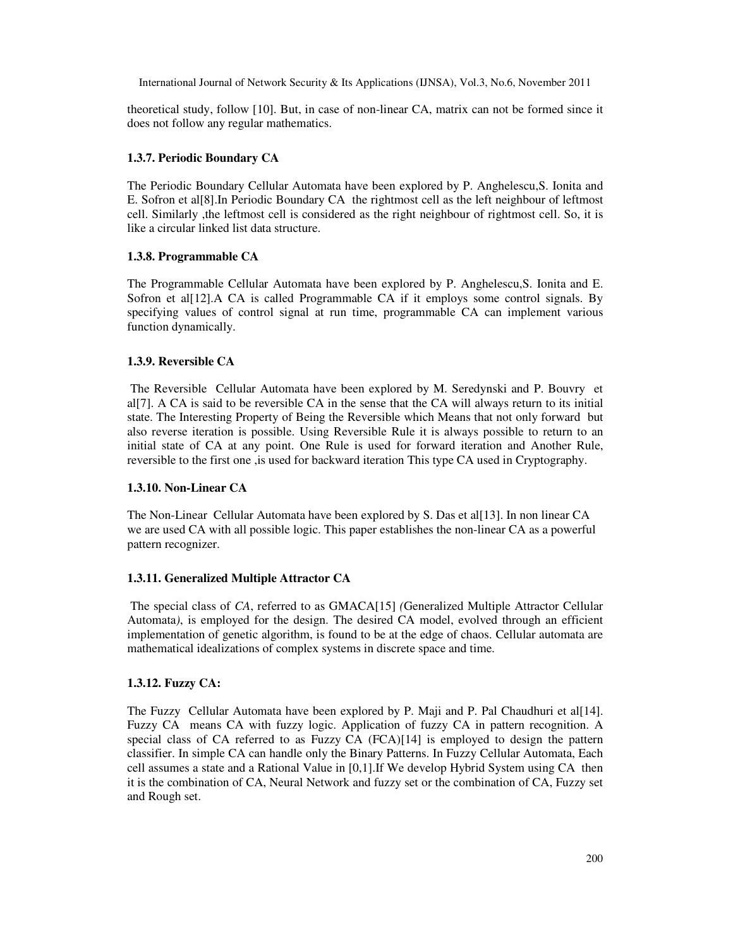theoretical study, follow [10]. But, in case of non-linear CA, matrix can not be formed since it does not follow any regular mathematics.

#### **1.3.7. Periodic Boundary CA**

The Periodic Boundary Cellular Automata have been explored by P. Anghelescu,S. Ionita and E. Sofron et al[8].In Periodic Boundary CA the rightmost cell as the left neighbour of leftmost cell. Similarly ,the leftmost cell is considered as the right neighbour of rightmost cell. So, it is like a circular linked list data structure.

#### **1.3.8. Programmable CA**

The Programmable Cellular Automata have been explored by P. Anghelescu,S. Ionita and E. Sofron et al<sup>[12]</sup>.A CA is called Programmable CA if it employs some control signals. By specifying values of control signal at run time, programmable CA can implement various function dynamically.

#### **1.3.9. Reversible CA**

 The Reversible Cellular Automata have been explored by M. Seredynski and P. Bouvry et al[7]. A CA is said to be reversible CA in the sense that the CA will always return to its initial state. The Interesting Property of Being the Reversible which Means that not only forward but also reverse iteration is possible. Using Reversible Rule it is always possible to return to an initial state of CA at any point. One Rule is used for forward iteration and Another Rule, reversible to the first one ,is used for backward iteration This type CA used in Cryptography.

#### **1.3.10. Non-Linear CA**

The Non-Linear Cellular Automata have been explored by S. Das et al[13]. In non linear CA we are used CA with all possible logic. This paper establishes the non-linear CA as a powerful pattern recognizer.

#### **1.3.11. Generalized Multiple Attractor CA**

 The special class of *CA*, referred to as GMACA[15] *(*Generalized Multiple Attractor Cellular Automata*)*, is employed for the design. The desired CA model, evolved through an efficient implementation of genetic algorithm, is found to be at the edge of chaos. Cellular automata are mathematical idealizations of complex systems in discrete space and time.

#### **1.3.12. Fuzzy CA:**

The Fuzzy Cellular Automata have been explored by P. Maji and P. Pal Chaudhuri et al[14]. Fuzzy CA means CA with fuzzy logic. Application of fuzzy CA in pattern recognition. A special class of CA referred to as Fuzzy CA (FCA)[14] is employed to design the pattern classifier. In simple CA can handle only the Binary Patterns. In Fuzzy Cellular Automata, Each cell assumes a state and a Rational Value in [0,1].If We develop Hybrid System using CA then it is the combination of CA, Neural Network and fuzzy set or the combination of CA, Fuzzy set and Rough set.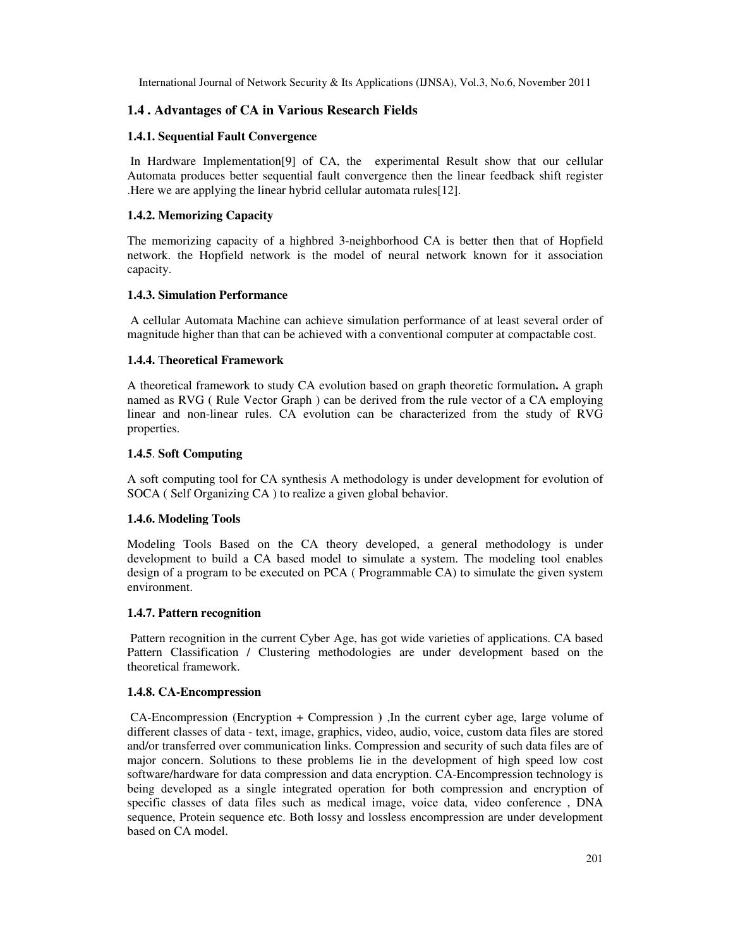## **1.4 . Advantages of CA in Various Research Fields**

#### **1.4.1. Sequential Fault Convergence**

 In Hardware Implementation[9] of CA, the experimental Result show that our cellular Automata produces better sequential fault convergence then the linear feedback shift register .Here we are applying the linear hybrid cellular automata rules[12].

#### **1.4.2. Memorizing Capacity**

The memorizing capacity of a highbred 3-neighborhood CA is better then that of Hopfield network. the Hopfield network is the model of neural network known for it association capacity.

#### **1.4.3. Simulation Performance**

 A cellular Automata Machine can achieve simulation performance of at least several order of magnitude higher than that can be achieved with a conventional computer at compactable cost.

#### **1.4.4.** T**heoretical Framework**

A theoretical framework to study CA evolution based on graph theoretic formulation**.** A graph named as RVG ( Rule Vector Graph ) can be derived from the rule vector of a CA employing linear and non-linear rules. CA evolution can be characterized from the study of RVG properties.

#### **1.4.5**. **Soft Computing**

A soft computing tool for CA synthesis A methodology is under development for evolution of SOCA ( Self Organizing CA ) to realize a given global behavior.

#### **1.4.6. Modeling Tools**

Modeling Tools Based on the CA theory developed, a general methodology is under development to build a CA based model to simulate a system. The modeling tool enables design of a program to be executed on PCA ( Programmable CA) to simulate the given system environment.

#### **1.4.7. Pattern recognition**

 Pattern recognition in the current Cyber Age, has got wide varieties of applications. CA based Pattern Classification / Clustering methodologies are under development based on the theoretical framework.

#### **1.4.8. CA-Encompression**

 CA-Encompression (Encryption + Compression **)** ,In the current cyber age, large volume of different classes of data - text, image, graphics, video, audio, voice, custom data files are stored and/or transferred over communication links. Compression and security of such data files are of major concern. Solutions to these problems lie in the development of high speed low cost software/hardware for data compression and data encryption. CA-Encompression technology is being developed as a single integrated operation for both compression and encryption of specific classes of data files such as medical image, voice data, video conference , DNA sequence, Protein sequence etc. Both lossy and lossless encompression are under development based on CA model.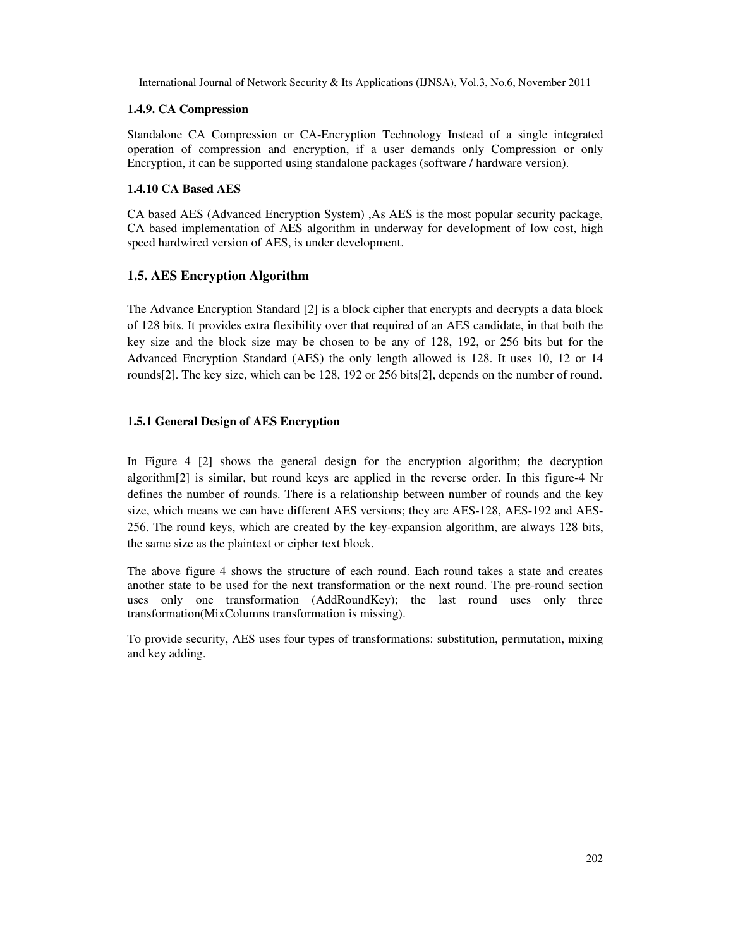## **1.4.9. CA Compression**

Standalone CA Compression or CA-Encryption Technology Instead of a single integrated operation of compression and encryption, if a user demands only Compression or only Encryption, it can be supported using standalone packages (software / hardware version).

## **1.4.10 CA Based AES**

CA based AES (Advanced Encryption System) ,As AES is the most popular security package, CA based implementation of AES algorithm in underway for development of low cost, high speed hardwired version of AES, is under development.

## **1.5. AES Encryption Algorithm**

The Advance Encryption Standard [2] is a block cipher that encrypts and decrypts a data block of 128 bits. It provides extra flexibility over that required of an AES candidate, in that both the key size and the block size may be chosen to be any of 128, 192, or 256 bits but for the Advanced Encryption Standard (AES) the only length allowed is 128. It uses 10, 12 or 14 rounds[2]. The key size, which can be 128, 192 or 256 bits[2], depends on the number of round.

## **1.5.1 General Design of AES Encryption**

In Figure 4 [2] shows the general design for the encryption algorithm; the decryption algorithm[2] is similar, but round keys are applied in the reverse order. In this figure-4 Nr defines the number of rounds. There is a relationship between number of rounds and the key size, which means we can have different AES versions; they are AES-128, AES-192 and AES-256. The round keys, which are created by the key-expansion algorithm, are always 128 bits, the same size as the plaintext or cipher text block.

The above figure 4 shows the structure of each round. Each round takes a state and creates another state to be used for the next transformation or the next round. The pre-round section uses only one transformation (AddRoundKey); the last round uses only three transformation(MixColumns transformation is missing).

To provide security, AES uses four types of transformations: substitution, permutation, mixing and key adding.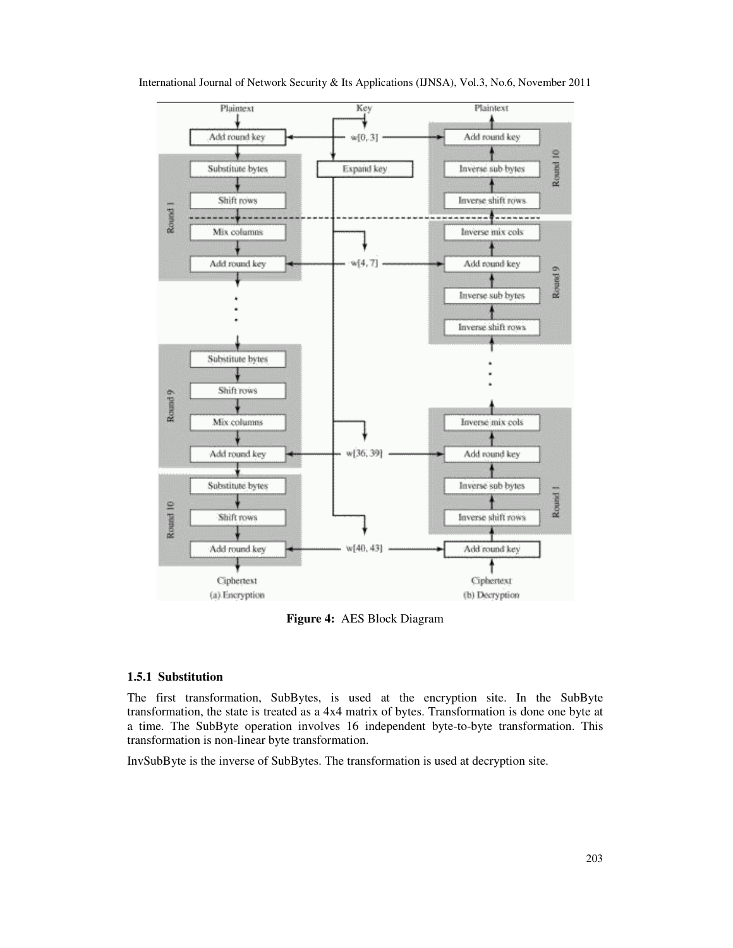

International Journal of Network Security & Its Applications (IJNSA), Vol.3, No.6, November 2011

**Figure 4:** AES Block Diagram

#### **1.5.1 Substitution**

The first transformation, SubBytes, is used at the encryption site. In the SubByte transformation, the state is treated as a 4x4 matrix of bytes. Transformation is done one byte at a time. The SubByte operation involves 16 independent byte-to-byte transformation. This transformation is non-linear byte transformation.

InvSubByte is the inverse of SubBytes. The transformation is used at decryption site.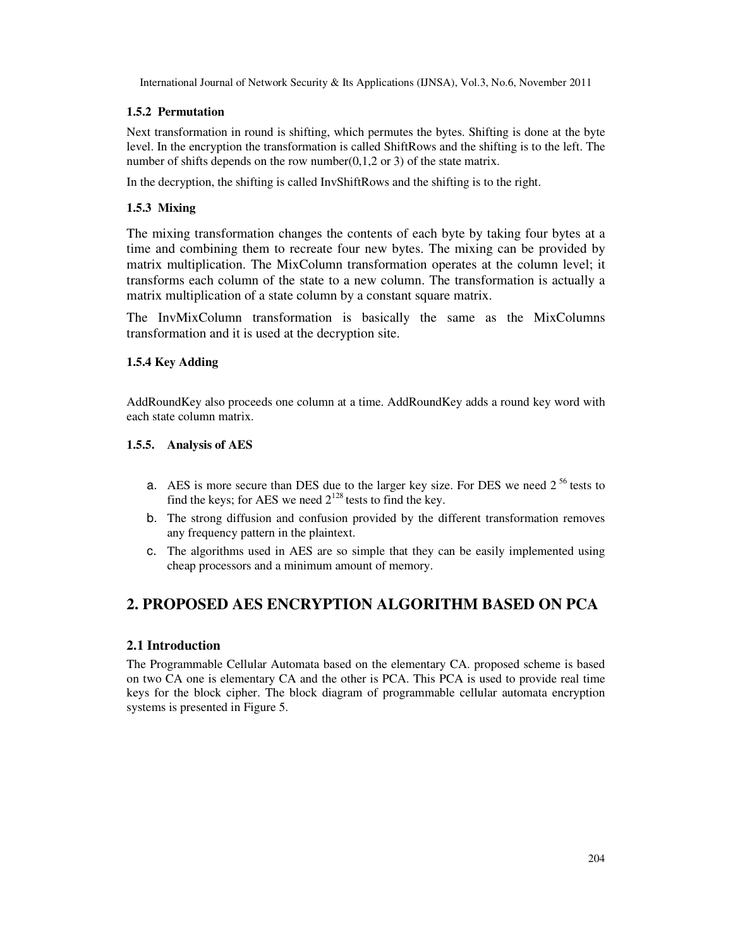## **1.5.2 Permutation**

Next transformation in round is shifting, which permutes the bytes. Shifting is done at the byte level. In the encryption the transformation is called ShiftRows and the shifting is to the left. The number of shifts depends on the row number( $0,1,2$  or 3) of the state matrix.

In the decryption, the shifting is called InvShiftRows and the shifting is to the right.

## **1.5.3 Mixing**

The mixing transformation changes the contents of each byte by taking four bytes at a time and combining them to recreate four new bytes. The mixing can be provided by matrix multiplication. The MixColumn transformation operates at the column level; it transforms each column of the state to a new column. The transformation is actually a matrix multiplication of a state column by a constant square matrix.

The InvMixColumn transformation is basically the same as the MixColumns transformation and it is used at the decryption site.

## **1.5.4 Key Adding**

AddRoundKey also proceeds one column at a time. AddRoundKey adds a round key word with each state column matrix.

## **1.5.5. Analysis of AES**

- a. AES is more secure than DES due to the larger key size. For DES we need  $2^{56}$  tests to find the keys; for AES we need  $2^{128}$  tests to find the key.
- b. The strong diffusion and confusion provided by the different transformation removes any frequency pattern in the plaintext.
- c. The algorithms used in AES are so simple that they can be easily implemented using cheap processors and a minimum amount of memory.

# **2. PROPOSED AES ENCRYPTION ALGORITHM BASED ON PCA**

#### **2.1 Introduction**

The Programmable Cellular Automata based on the elementary CA. proposed scheme is based on two CA one is elementary CA and the other is PCA. This PCA is used to provide real time keys for the block cipher. The block diagram of programmable cellular automata encryption systems is presented in Figure 5.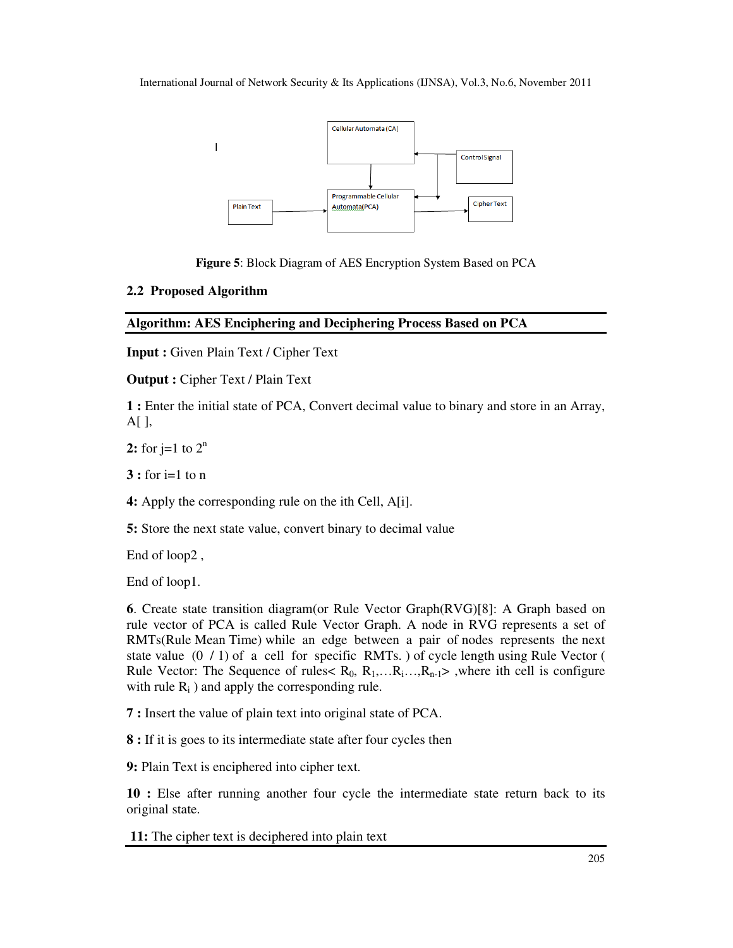

**Figure 5**: Block Diagram of AES Encryption System Based on PCA

## **2.2 Proposed Algorithm**

## **Algorithm: AES Enciphering and Deciphering Process Based on PCA**

**Input :** Given Plain Text / Cipher Text

**Output :** Cipher Text / Plain Text

**1 :** Enter the initial state of PCA, Convert decimal value to binary and store in an Array,  $A[\ ]$ ,

**2:** for  $j=1$  to  $2^n$ 

**3 :** for i=1 to n

**4:** Apply the corresponding rule on the ith Cell, A[i].

**5:** Store the next state value, convert binary to decimal value

End of loop2 ,

End of loop1.

**6**. Create state transition diagram(or Rule Vector Graph(RVG)[8]: A Graph based on rule vector of PCA is called Rule Vector Graph. A node in RVG represents a set of RMTs(Rule Mean Time) while an edge between a pair of nodes represents the next state value  $(0 / 1)$  of a cell for specific RMTs. ) of cycle length using Rule Vector ( Rule Vector: The Sequence of rules  $R_0, R_1, \ldots, R_{n-1}$ , where ith cell is configure with rule  $R_i$ ) and apply the corresponding rule.

**7 :** Insert the value of plain text into original state of PCA.

**8 :** If it is goes to its intermediate state after four cycles then

**9:** Plain Text is enciphered into cipher text.

**10 :** Else after running another four cycle the intermediate state return back to its original state.

 **11:** The cipher text is deciphered into plain text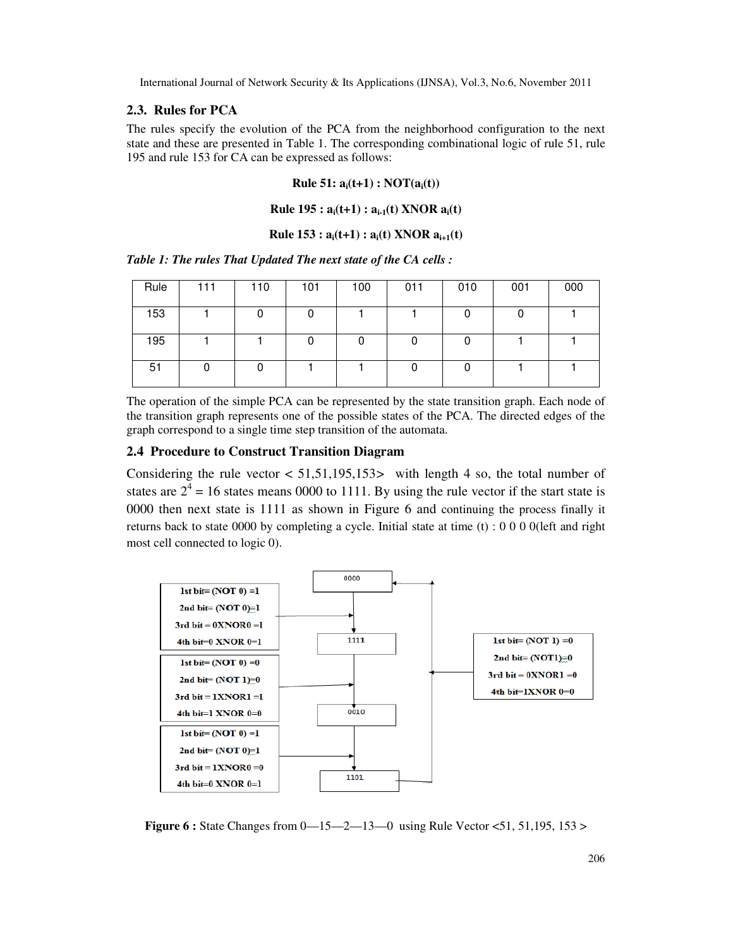#### **2.3. Rules for PCA**

The rules specify the evolution of the PCA from the neighborhood configuration to the next state and these are presented in Table 1. The corresponding combinational logic of rule 51, rule 195 and rule 153 for CA can be expressed as follows:

#### **Rule 51: ai(t+1) : NOT(ai(t))**

#### **Rule 195 : ai(t+1) : ai-1(t) XNOR ai(t)**

#### **Rule 153 :**  $a_i(t+1)$  **:**  $a_i(t)$  **XNOR**  $a_{i+1}(t)$

*Table 1: The rules That Updated The next state of the CA cells :* 

| Rule | 111 | 110 | 101 | 100 | 011 | 010 | 001 | 000 |
|------|-----|-----|-----|-----|-----|-----|-----|-----|
| 153  |     |     |     |     |     |     |     |     |
| 195  |     |     |     |     |     |     |     |     |
| 51   |     |     |     |     |     |     |     |     |

The operation of the simple PCA can be represented by the state transition graph. Each node of the transition graph represents one of the possible states of the PCA. The directed edges of the graph correspond to a single time step transition of the automata.

#### **2.4 Procedure to Construct Transition Diagram**

Considering the rule vector < 51,51,195,153*>* with length 4 so, the total number of states are  $2^4$  = 16 states means 0000 to 1111. By using the rule vector if the start state is 0000 then next state is 1111 as shown in Figure 6 and continuing the process finally it returns back to state 0000 by completing a cycle. Initial state at time (t) : 0 0 0 0(left and right most cell connected to logic 0).



**Figure 6 :** State Changes from 0—15—2—13—0 using Rule Vector <51, 51, 195, 153 >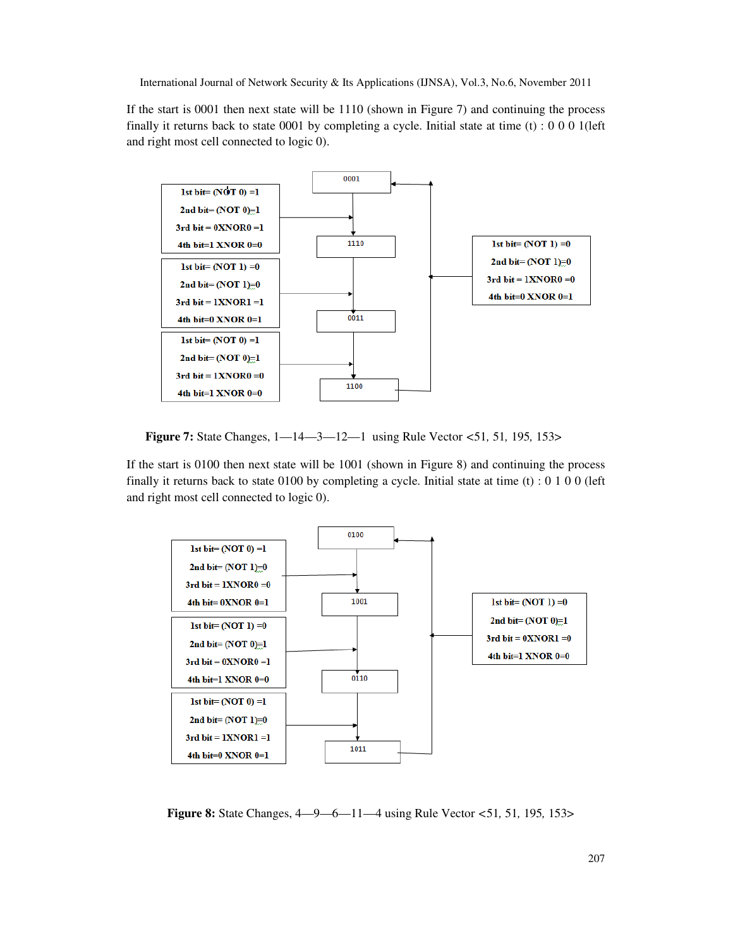If the start is 0001 then next state will be 1110 (shown in Figure 7) and continuing the process finally it returns back to state 0001 by completing a cycle. Initial state at time  $(t)$ : 0 0 0 1(left and right most cell connected to logic 0).



 **Figure 7:** State Changes, 1—14—3—12—1 using Rule Vector *<*51*,* 51*,* 195*,* 153>

If the start is 0100 then next state will be 1001 (shown in Figure 8) and continuing the process finally it returns back to state 0100 by completing a cycle. Initial state at time (t) : 0 1 0 0 (left and right most cell connected to logic 0).



 **Figure 8:** State Changes, 4—9—6—11—4 using Rule Vector *<*51*,* 51*,* 195*,* 153>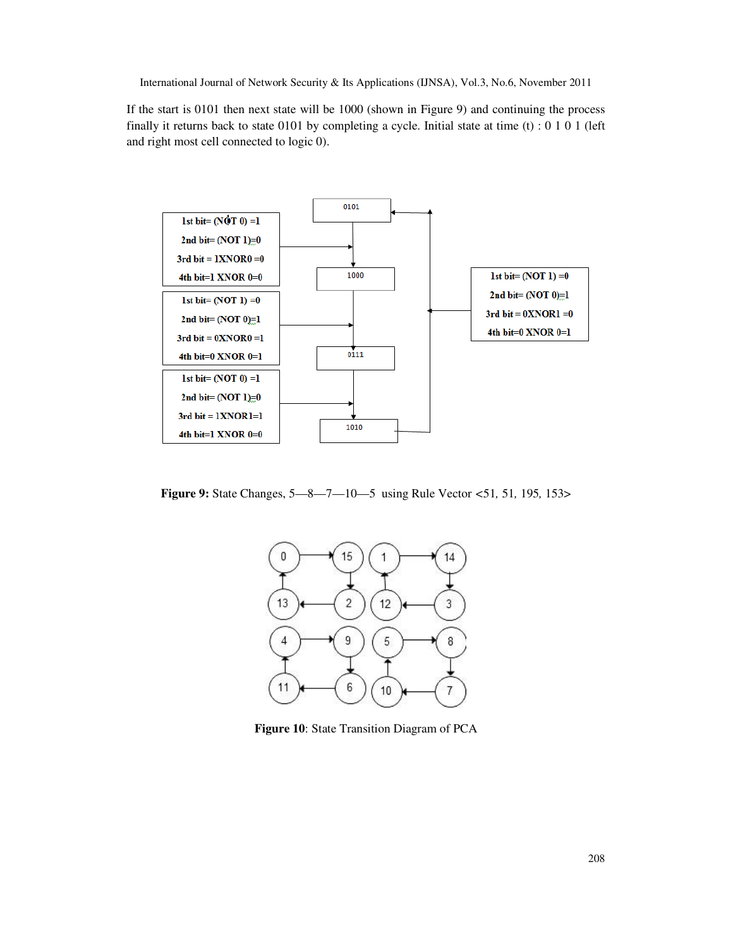If the start is 0101 then next state will be 1000 (shown in Figure 9) and continuing the process finally it returns back to state 0101 by completing a cycle. Initial state at time (t) : 0 1 0 1 (left and right most cell connected to logic 0).



**Figure 9:** State Changes, 5—8—7—10—5 using Rule Vector *<*51*,* 51*,* 195*,* 153>



**Figure 10**: State Transition Diagram of PCA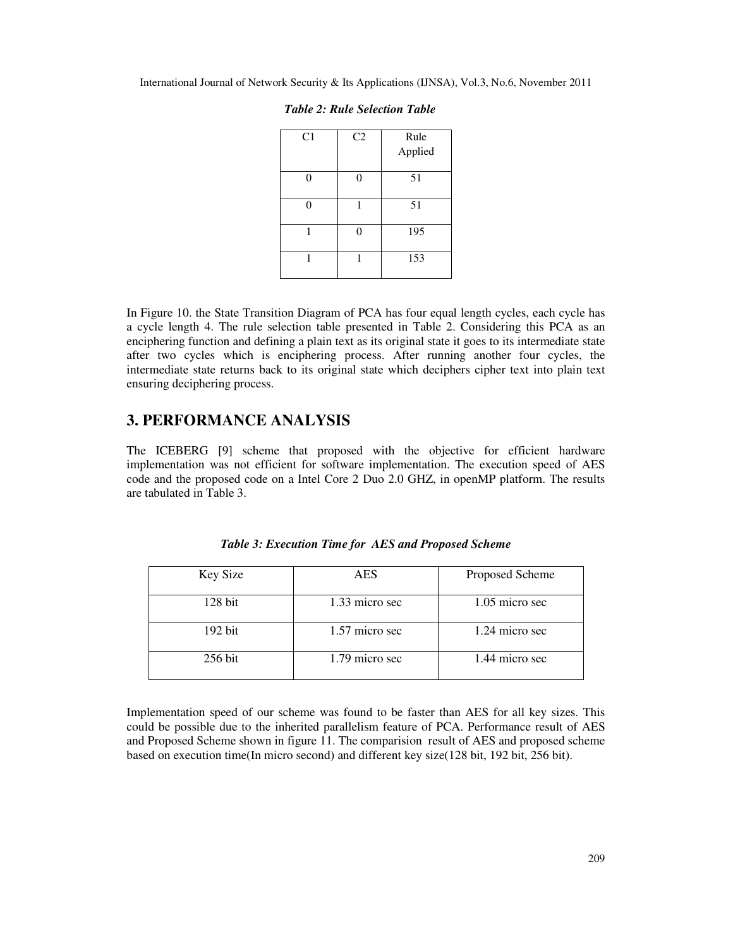| C <sub>1</sub> | C <sub>2</sub> | Rule    |
|----------------|----------------|---------|
|                |                | Applied |
|                |                | 51      |
|                |                | 51      |
|                |                | 195     |
|                |                | 153     |

|  |  |  |  | <b>Table 2: Rule Selection Table</b> |  |
|--|--|--|--|--------------------------------------|--|
|--|--|--|--|--------------------------------------|--|

In Figure 10. the State Transition Diagram of PCA has four equal length cycles, each cycle has a cycle length 4. The rule selection table presented in Table 2. Considering this PCA as an enciphering function and defining a plain text as its original state it goes to its intermediate state after two cycles which is enciphering process. After running another four cycles, the intermediate state returns back to its original state which deciphers cipher text into plain text ensuring deciphering process.

# **3. PERFORMANCE ANALYSIS**

The ICEBERG [9] scheme that proposed with the objective for efficient hardware implementation was not efficient for software implementation. The execution speed of AES code and the proposed code on a Intel Core 2 Duo 2.0 GHZ, in openMP platform. The results are tabulated in Table 3.

| Key Size  | <b>AES</b>     | Proposed Scheme  |
|-----------|----------------|------------------|
| $128$ bit | 1.33 micro sec | $1.05$ micro sec |
| $192$ bit | 1.57 micro sec | 1.24 micro sec   |
| $256$ bit | 1.79 micro sec | 1.44 micro sec   |

*Table 3: Execution Time for AES and Proposed Scheme* 

Implementation speed of our scheme was found to be faster than AES for all key sizes. This could be possible due to the inherited parallelism feature of PCA. Performance result of AES and Proposed Scheme shown in figure 11. The comparision result of AES and proposed scheme based on execution time(In micro second) and different key size(128 bit, 192 bit, 256 bit).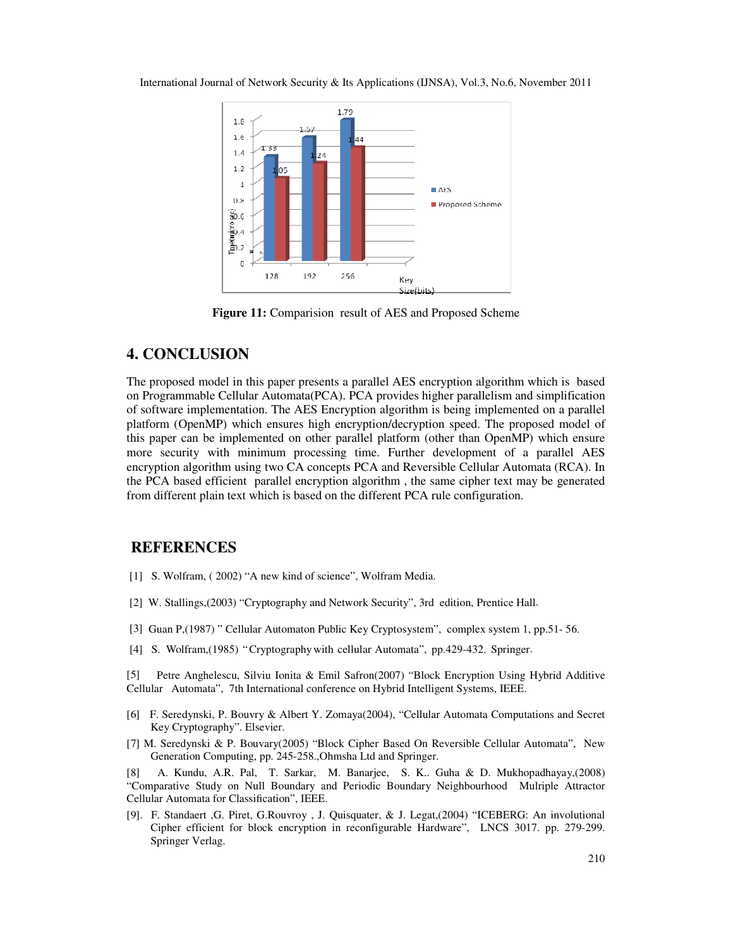

**Figure 11:** Comparision result of AES and Proposed Scheme

# **4. CONCLUSION**

The proposed model in this paper presents a parallel AES encryption algorithm which is based on Programmable Cellular Automata(PCA). PCA provides higher parallelism and simplification of software implementation. The AES Encryption algorithm is being implemented on a parallel platform (OpenMP) which ensures high encryption/decryption speed. The proposed model of this paper can be implemented on other parallel platform (other than OpenMP) which ensure more security with minimum processing time. Further development of a parallel AES encryption algorithm using two CA concepts PCA and Reversible Cellular Automata (RCA). In the PCA based efficient parallel encryption algorithm , the same cipher text may be generated from different plain text which is based on the different PCA rule configuration.

### **REFERENCES**

- [1] S. Wolfram, ( 2002) "A new kind of science", Wolfram Media.
- [2] W. Stallings,(2003) "Cryptography and Network Security", 3rd edition, Prentice Hall.
- [3] Guan P,(1987) " Cellular Automaton Public Key Cryptosystem", complex system 1, pp.51- 56.
- [4] S. Wolfram,(1985) "Cryptography with cellular Automata", pp.429-432. Springer.

[5] Petre Anghelescu, Silviu Ionita & Emil Safron(2007) "Block Encryption Using Hybrid Additive Cellular Automata", 7th International conference on Hybrid Intelligent Systems, IEEE.

- [6] F. Seredynski, P. Bouvry & Albert Y. Zomaya(2004), "Cellular Automata Computations and Secret Key Cryptography". Elsevier.
- [7] M. Seredynski & P. Bouvary(2005) "Block Cipher Based On Reversible Cellular Automata", New Generation Computing, pp. 245-258.,Ohmsha Ltd and Springer.

[8] A. Kundu, A.R. Pal, T. Sarkar, M. Banarjee, S. K.. Guha & D. Mukhopadhayay,(2008) "Comparative Study on Null Boundary and Periodic Boundary Neighbourhood Mulriple Attractor Cellular Automata for Classification", IEEE.

[9]. F. Standaert ,G. Piret, G.Rouvroy , J. Quisquater, & J. Legat,(2004) "ICEBERG: An involutional Cipher efficient for block encryption in reconfigurable Hardware", LNCS 3017. pp. 279-299. Springer Verlag.